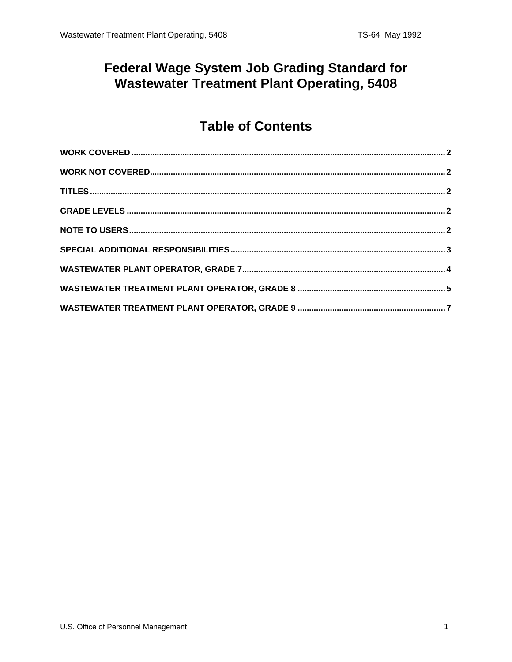## **Federal Wage System Job Grading Standard for Wastewater Treatment Plant Operating, 5408**

## **Table of Contents**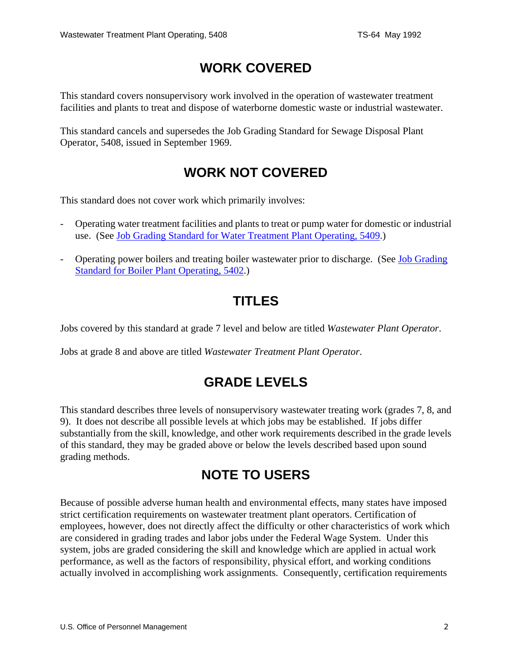# **WORK COVERED**

<span id="page-1-0"></span>This standard covers nonsupervisory work involved in the operation of wastewater treatment facilities and plants to treat and dispose of waterborne domestic waste or industrial wastewater.

This standard cancels and supersedes the Job Grading Standard for Sewage Disposal Plant Operator, 5408, issued in September 1969.

## **WORK NOT COVERED**

This standard does not cover work which primarily involves:

- Operating water treatment facilities and plants to treat or pump water for domestic or industrial use. (See [Job Grading Standard for Water Treatment Plant Operating, 5409.](/fedclass/fws5409.pdf))
- Operating power boilers and treating boiler wastewater prior to discharge. (See [Job Grading](/fedclass/fws5402.pdf)  [Standard for Boiler Plant Operating, 5402.](/fedclass/fws5402.pdf))

### **TITLES**

Jobs covered by this standard at grade 7 level and below are titled *Wastewater Plant Operator*.

Jobs at grade 8 and above are titled *Wastewater Treatment Plant Operator*.

# **GRADE LEVELS**

This standard describes three levels of nonsupervisory wastewater treating work (grades 7, 8, and 9). It does not describe all possible levels at which jobs may be established. If jobs differ substantially from the skill, knowledge, and other work requirements described in the grade levels of this standard, they may be graded above or below the levels described based upon sound grading methods.

### **NOTE TO USERS**

Because of possible adverse human health and environmental effects, many states have imposed strict certification requirements on wastewater treatment plant operators. Certification of employees, however, does not directly affect the difficulty or other characteristics of work which are considered in grading trades and labor jobs under the Federal Wage System. Under this system, jobs are graded considering the skill and knowledge which are applied in actual work performance, as well as the factors of responsibility, physical effort, and working conditions actually involved in accomplishing work assignments. Consequently, certification requirements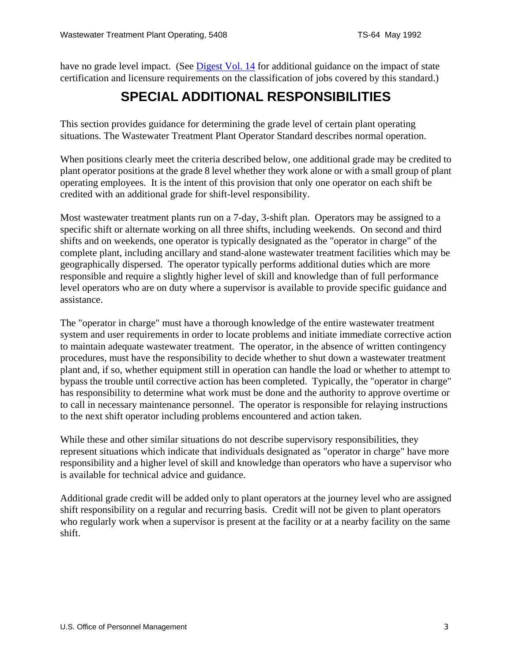<span id="page-2-0"></span>have no grade level impact. (See [Digest Vol. 14](/classapp/digests/digest14.pdf) for additional guidance on the impact of state certification and licensure requirements on the classification of jobs covered by this standard.)

## **SPECIAL ADDITIONAL RESPONSIBILITIES**

This section provides guidance for determining the grade level of certain plant operating situations. The Wastewater Treatment Plant Operator Standard describes normal operation.

When positions clearly meet the criteria described below, one additional grade may be credited to plant operator positions at the grade 8 level whether they work alone or with a small group of plant operating employees. It is the intent of this provision that only one operator on each shift be credited with an additional grade for shift-level responsibility.

Most wastewater treatment plants run on a 7-day, 3-shift plan. Operators may be assigned to a specific shift or alternate working on all three shifts, including weekends. On second and third shifts and on weekends, one operator is typically designated as the "operator in charge" of the complete plant, including ancillary and stand-alone wastewater treatment facilities which may be geographically dispersed. The operator typically performs additional duties which are more responsible and require a slightly higher level of skill and knowledge than of full performance level operators who are on duty where a supervisor is available to provide specific guidance and assistance.

The "operator in charge" must have a thorough knowledge of the entire wastewater treatment system and user requirements in order to locate problems and initiate immediate corrective action to maintain adequate wastewater treatment. The operator, in the absence of written contingency procedures, must have the responsibility to decide whether to shut down a wastewater treatment plant and, if so, whether equipment still in operation can handle the load or whether to attempt to bypass the trouble until corrective action has been completed. Typically, the "operator in charge" has responsibility to determine what work must be done and the authority to approve overtime or to call in necessary maintenance personnel. The operator is responsible for relaying instructions to the next shift operator including problems encountered and action taken.

While these and other similar situations do not describe supervisory responsibilities, they represent situations which indicate that individuals designated as "operator in charge" have more responsibility and a higher level of skill and knowledge than operators who have a supervisor who is available for technical advice and guidance.

Additional grade credit will be added only to plant operators at the journey level who are assigned shift responsibility on a regular and recurring basis. Credit will not be given to plant operators who regularly work when a supervisor is present at the facility or at a nearby facility on the same shift.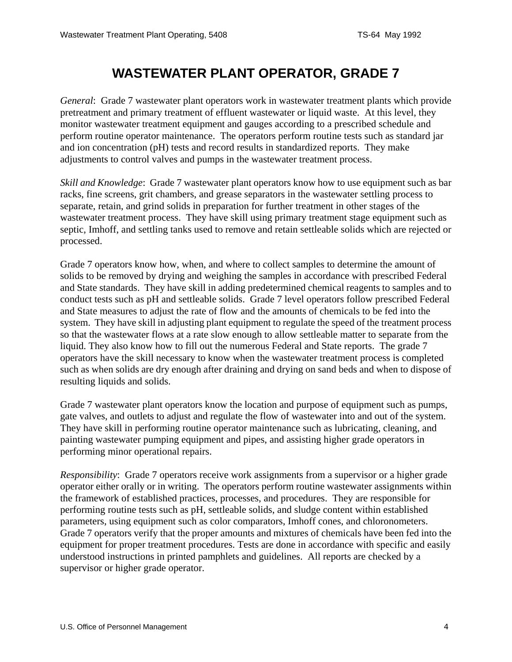## **WASTEWATER PLANT OPERATOR, GRADE 7**

<span id="page-3-0"></span>*General*: Grade 7 wastewater plant operators work in wastewater treatment plants which provide pretreatment and primary treatment of effluent wastewater or liquid waste. At this level, they monitor wastewater treatment equipment and gauges according to a prescribed schedule and perform routine operator maintenance. The operators perform routine tests such as standard jar and ion concentration (pH) tests and record results in standardized reports. They make adjustments to control valves and pumps in the wastewater treatment process.

*Skill and Knowledge*: Grade 7 wastewater plant operators know how to use equipment such as bar racks, fine screens, grit chambers, and grease separators in the wastewater settling process to separate, retain, and grind solids in preparation for further treatment in other stages of the wastewater treatment process. They have skill using primary treatment stage equipment such as septic, Imhoff, and settling tanks used to remove and retain settleable solids which are rejected or processed.

Grade 7 operators know how, when, and where to collect samples to determine the amount of solids to be removed by drying and weighing the samples in accordance with prescribed Federal and State standards. They have skill in adding predetermined chemical reagents to samples and to conduct tests such as pH and settleable solids. Grade 7 level operators follow prescribed Federal and State measures to adjust the rate of flow and the amounts of chemicals to be fed into the system. They have skill in adjusting plant equipment to regulate the speed of the treatment process so that the wastewater flows at a rate slow enough to allow settleable matter to separate from the liquid. They also know how to fill out the numerous Federal and State reports. The grade 7 operators have the skill necessary to know when the wastewater treatment process is completed such as when solids are dry enough after draining and drying on sand beds and when to dispose of resulting liquids and solids.

Grade 7 wastewater plant operators know the location and purpose of equipment such as pumps, gate valves, and outlets to adjust and regulate the flow of wastewater into and out of the system. They have skill in performing routine operator maintenance such as lubricating, cleaning, and painting wastewater pumping equipment and pipes, and assisting higher grade operators in performing minor operational repairs.

*Responsibility*: Grade 7 operators receive work assignments from a supervisor or a higher grade operator either orally or in writing. The operators perform routine wastewater assignments within the framework of established practices, processes, and procedures. They are responsible for performing routine tests such as pH, settleable solids, and sludge content within established parameters, using equipment such as color comparators, Imhoff cones, and chloronometers. Grade 7 operators verify that the proper amounts and mixtures of chemicals have been fed into the equipment for proper treatment procedures. Tests are done in accordance with specific and easily understood instructions in printed pamphlets and guidelines. All reports are checked by a supervisor or higher grade operator.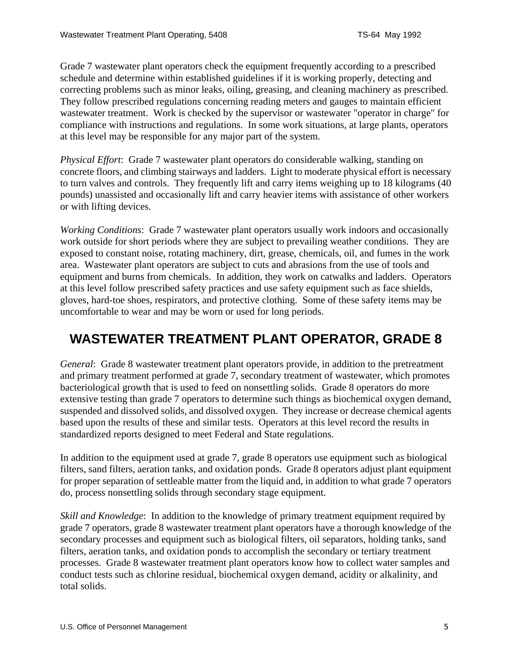<span id="page-4-0"></span>Grade 7 wastewater plant operators check the equipment frequently according to a prescribed schedule and determine within established guidelines if it is working properly, detecting and correcting problems such as minor leaks, oiling, greasing, and cleaning machinery as prescribed. They follow prescribed regulations concerning reading meters and gauges to maintain efficient wastewater treatment. Work is checked by the supervisor or wastewater "operator in charge" for compliance with instructions and regulations. In some work situations, at large plants, operators at this level may be responsible for any major part of the system.

*Physical Effort*: Grade 7 wastewater plant operators do considerable walking, standing on concrete floors, and climbing stairways and ladders. Light to moderate physical effort is necessary to turn valves and controls. They frequently lift and carry items weighing up to 18 kilograms (40 pounds) unassisted and occasionally lift and carry heavier items with assistance of other workers or with lifting devices.

*Working Conditions*: Grade 7 wastewater plant operators usually work indoors and occasionally work outside for short periods where they are subject to prevailing weather conditions. They are exposed to constant noise, rotating machinery, dirt, grease, chemicals, oil, and fumes in the work area. Wastewater plant operators are subject to cuts and abrasions from the use of tools and equipment and burns from chemicals. In addition, they work on catwalks and ladders. Operators at this level follow prescribed safety practices and use safety equipment such as face shields, gloves, hard-toe shoes, respirators, and protective clothing. Some of these safety items may be uncomfortable to wear and may be worn or used for long periods.

# **WASTEWATER TREATMENT PLANT OPERATOR, GRADE 8**

*General*: Grade 8 wastewater treatment plant operators provide, in addition to the pretreatment and primary treatment performed at grade 7, secondary treatment of wastewater, which promotes bacteriological growth that is used to feed on nonsettling solids. Grade 8 operators do more extensive testing than grade 7 operators to determine such things as biochemical oxygen demand, suspended and dissolved solids, and dissolved oxygen. They increase or decrease chemical agents based upon the results of these and similar tests. Operators at this level record the results in standardized reports designed to meet Federal and State regulations.

In addition to the equipment used at grade 7, grade 8 operators use equipment such as biological filters, sand filters, aeration tanks, and oxidation ponds. Grade 8 operators adjust plant equipment for proper separation of settleable matter from the liquid and, in addition to what grade 7 operators do, process nonsettling solids through secondary stage equipment.

*Skill and Knowledge*: In addition to the knowledge of primary treatment equipment required by grade 7 operators, grade 8 wastewater treatment plant operators have a thorough knowledge of the secondary processes and equipment such as biological filters, oil separators, holding tanks, sand filters, aeration tanks, and oxidation ponds to accomplish the secondary or tertiary treatment processes. Grade 8 wastewater treatment plant operators know how to collect water samples and conduct tests such as chlorine residual, biochemical oxygen demand, acidity or alkalinity, and total solids.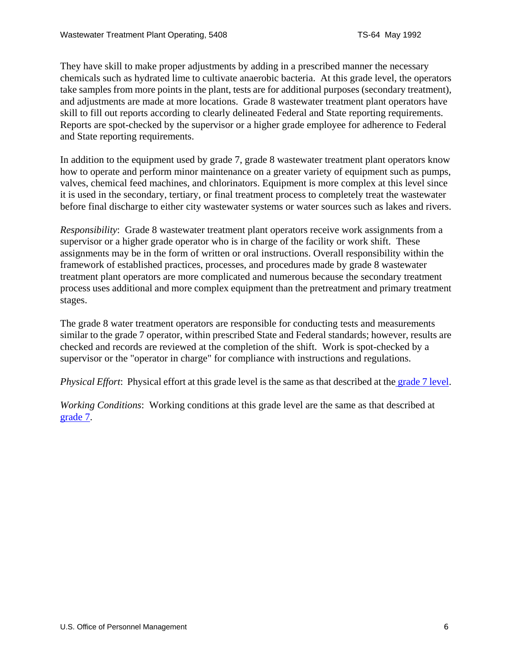They have skill to make proper adjustments by adding in a prescribed manner the necessary chemicals such as hydrated lime to cultivate anaerobic bacteria. At this grade level, the operators take samples from more points in the plant, tests are for additional purposes (secondary treatment), and adjustments are made at more locations. Grade 8 wastewater treatment plant operators have skill to fill out reports according to clearly delineated Federal and State reporting requirements. Reports are spot-checked by the supervisor or a higher grade employee for adherence to Federal and State reporting requirements.

In addition to the equipment used by grade 7, grade 8 wastewater treatment plant operators know how to operate and perform minor maintenance on a greater variety of equipment such as pumps, valves, chemical feed machines, and chlorinators. Equipment is more complex at this level since it is used in the secondary, tertiary, or final treatment process to completely treat the wastewater before final discharge to either city wastewater systems or water sources such as lakes and rivers.

*Responsibility*: Grade 8 wastewater treatment plant operators receive work assignments from a supervisor or a higher grade operator who is in charge of the facility or work shift. These assignments may be in the form of written or oral instructions. Overall responsibility within the framework of established practices, processes, and procedures made by grade 8 wastewater treatment plant operators are more complicated and numerous because the secondary treatment process uses additional and more complex equipment than the pretreatment and primary treatment stages.

The grade 8 water treatment operators are responsible for conducting tests and measurements similar to the grade 7 operator, within prescribed State and Federal standards; however, results are checked and records are reviewed at the completion of the shift. Work is spot-checked by a supervisor or the "operator in charge" for compliance with instructions and regulations.

*Physical Effort*: Physical effort at this grade level is the same as that described at the [grade 7 level.](#page-3-0)

*Working Conditions*: Working conditions at this grade level are the same as that described at [grade 7.](#page-3-0)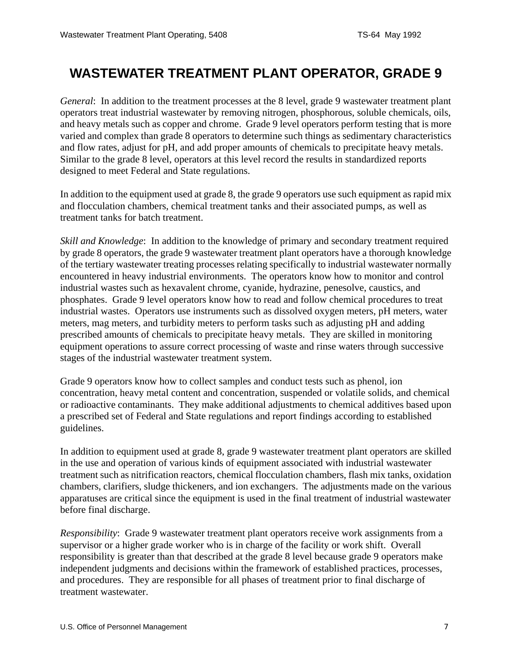## <span id="page-6-0"></span>**WASTEWATER TREATMENT PLANT OPERATOR, GRADE 9**

*General*: In addition to the treatment processes at the 8 level, grade 9 wastewater treatment plant operators treat industrial wastewater by removing nitrogen, phosphorous, soluble chemicals, oils, and heavy metals such as copper and chrome. Grade 9 level operators perform testing that is more varied and complex than grade 8 operators to determine such things as sedimentary characteristics and flow rates, adjust for pH, and add proper amounts of chemicals to precipitate heavy metals. Similar to the grade 8 level, operators at this level record the results in standardized reports designed to meet Federal and State regulations.

In addition to the equipment used at grade 8, the grade 9 operators use such equipment as rapid mix and flocculation chambers, chemical treatment tanks and their associated pumps, as well as treatment tanks for batch treatment.

*Skill and Knowledge*: In addition to the knowledge of primary and secondary treatment required by grade 8 operators, the grade 9 wastewater treatment plant operators have a thorough knowledge of the tertiary wastewater treating processes relating specifically to industrial wastewater normally encountered in heavy industrial environments. The operators know how to monitor and control industrial wastes such as hexavalent chrome, cyanide, hydrazine, penesolve, caustics, and phosphates. Grade 9 level operators know how to read and follow chemical procedures to treat industrial wastes. Operators use instruments such as dissolved oxygen meters, pH meters, water meters, mag meters, and turbidity meters to perform tasks such as adjusting pH and adding prescribed amounts of chemicals to precipitate heavy metals. They are skilled in monitoring equipment operations to assure correct processing of waste and rinse waters through successive stages of the industrial wastewater treatment system.

Grade 9 operators know how to collect samples and conduct tests such as phenol, ion concentration, heavy metal content and concentration, suspended or volatile solids, and chemical or radioactive contaminants. They make additional adjustments to chemical additives based upon a prescribed set of Federal and State regulations and report findings according to established guidelines.

In addition to equipment used at grade 8, grade 9 wastewater treatment plant operators are skilled in the use and operation of various kinds of equipment associated with industrial wastewater treatment such as nitrification reactors, chemical flocculation chambers, flash mix tanks, oxidation chambers, clarifiers, sludge thickeners, and ion exchangers. The adjustments made on the various apparatuses are critical since the equipment is used in the final treatment of industrial wastewater before final discharge.

*Responsibility*: Grade 9 wastewater treatment plant operators receive work assignments from a supervisor or a higher grade worker who is in charge of the facility or work shift. Overall responsibility is greater than that described at the grade 8 level because grade 9 operators make independent judgments and decisions within the framework of established practices, processes, and procedures. They are responsible for all phases of treatment prior to final discharge of treatment wastewater.